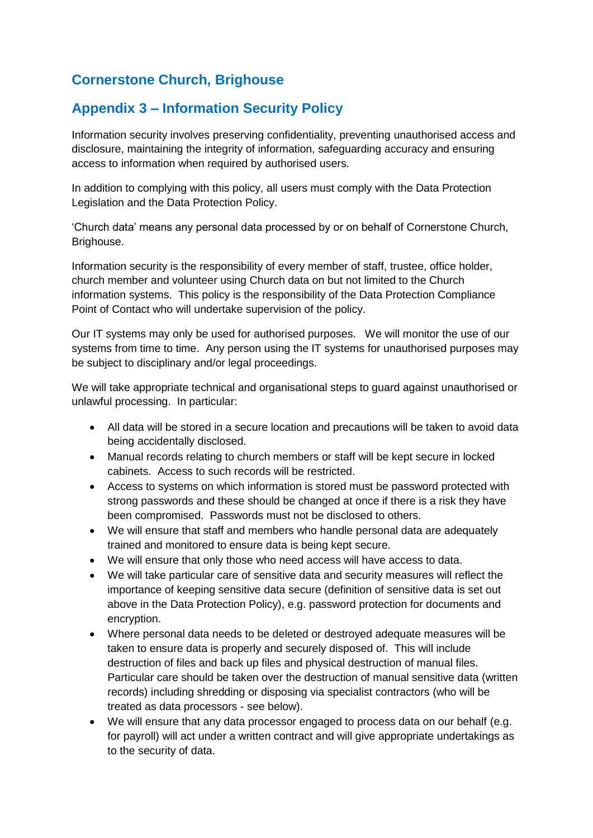## **Cornerstone Church, Brighouse**

## **Appendix 3 – Information Security Policy**

Information security involves preserving confidentiality, preventing unauthorised access and disclosure, maintaining the integrity of information, safeguarding accuracy and ensuring access to information when required by authorised users.

In addition to complying with this policy, all users must comply with the Data Protection Legislation and the Data Protection Policy.

'Church data' means any personal data processed by or on behalf of Cornerstone Church, Brighouse.

Information security is the responsibility of every member of staff, trustee, office holder, church member and volunteer using Church data on but not limited to the Church information systems. This policy is the responsibility of the Data Protection Compliance Point of Contact who will undertake supervision of the policy.

Our IT systems may only be used for authorised purposes. We will monitor the use of our systems from time to time. Any person using the IT systems for unauthorised purposes may be subject to disciplinary and/or legal proceedings.

We will take appropriate technical and organisational steps to guard against unauthorised or unlawful processing. In particular:

- All data will be stored in a secure location and precautions will be taken to avoid data being accidentally disclosed.
- Manual records relating to church members or staff will be kept secure in locked cabinets. Access to such records will be restricted.
- Access to systems on which information is stored must be password protected with strong passwords and these should be changed at once if there is a risk they have been compromised. Passwords must not be disclosed to others.
- We will ensure that staff and members who handle personal data are adequately trained and monitored to ensure data is being kept secure.
- We will ensure that only those who need access will have access to data.
- We will take particular care of sensitive data and security measures will reflect the importance of keeping sensitive data secure (definition of sensitive data is set out above in the Data Protection Policy), e.g. password protection for documents and encryption.
- Where personal data needs to be deleted or destroyed adequate measures will be taken to ensure data is properly and securely disposed of. This will include destruction of files and back up files and physical destruction of manual files. Particular care should be taken over the destruction of manual sensitive data (written records) including shredding or disposing via specialist contractors (who will be treated as data processors - see below).
- We will ensure that any data processor engaged to process data on our behalf (e.g. for payroll) will act under a written contract and will give appropriate undertakings as to the security of data.